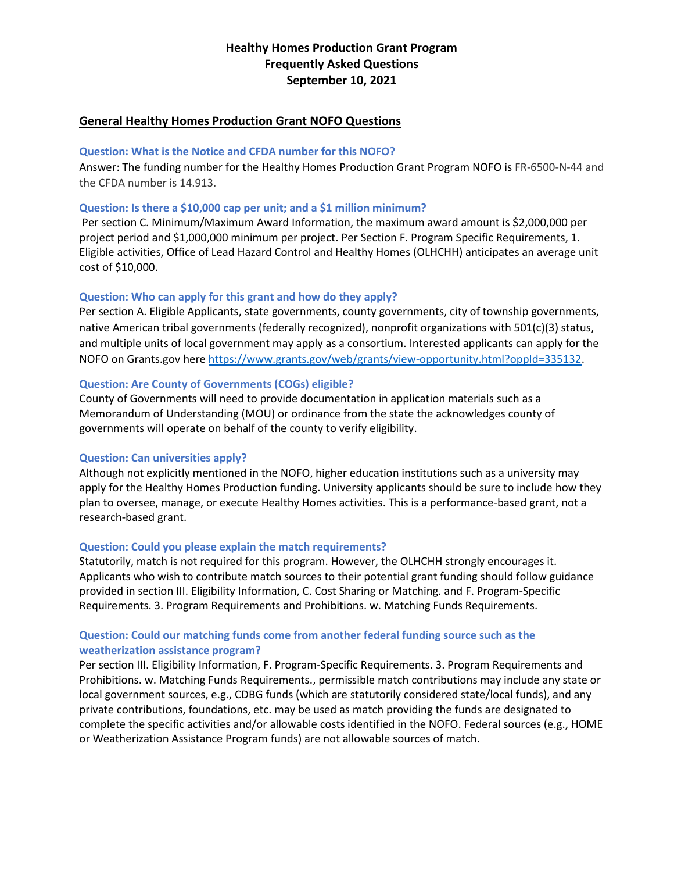### **General Healthy Homes Production Grant NOFO Questions**

#### **Question: What is the Notice and CFDA number for this NOFO?**

Answer: The funding number for the Healthy Homes Production Grant Program NOFO is FR-6500-N-44 and the CFDA number is 14.913.

#### **Question: Is there a \$10,000 cap per unit; and a \$1 million minimum?**

Per section C. Minimum/Maximum Award Information, the maximum award amount is \$2,000,000 per project period and \$1,000,000 minimum per project. Per Section F. Program Specific Requirements, 1. Eligible activities, Office of Lead Hazard Control and Healthy Homes (OLHCHH) anticipates an average unit cost of \$10,000.

#### **Question: Who can apply for this grant and how do they apply?**

Per section A. Eligible Applicants, state governments, county governments, city of township governments, native American tribal governments (federally recognized), nonprofit organizations with 501(c)(3) status, and multiple units of local government may apply as a consortium. Interested applicants can apply for the NOFO on Grants.gov here [https://www.grants.gov/web/grants/view-opportunity.html?oppId=335132.](https://www.grants.gov/web/grants/view-opportunity.html?oppId=335132)

#### **Question: Are County of Governments (COGs) eligible?**

County of Governments will need to provide documentation in application materials such as a Memorandum of Understanding (MOU) or ordinance from the state the acknowledges county of governments will operate on behalf of the county to verify eligibility.

#### **Question: Can universities apply?**

Although not explicitly mentioned in the NOFO, higher education institutions such as a university may apply for the Healthy Homes Production funding. University applicants should be sure to include how they plan to oversee, manage, or execute Healthy Homes activities. This is a performance-based grant, not a research-based grant.

#### **Question: Could you please explain the match requirements?**

Statutorily, match is not required for this program. However, the OLHCHH strongly encourages it. Applicants who wish to contribute match sources to their potential grant funding should follow guidance provided in section III. Eligibility Information, C. Cost Sharing or Matching. and F. Program-Specific Requirements. 3. Program Requirements and Prohibitions. w. Matching Funds Requirements.

### **Question: Could our matching funds come from another federal funding source such as the weatherization assistance program?**

Per section III. Eligibility Information, F. Program-Specific Requirements. 3. Program Requirements and Prohibitions. w. Matching Funds Requirements., permissible match contributions may include any state or local government sources, e.g., CDBG funds (which are statutorily considered state/local funds), and any private contributions, foundations, etc. may be used as match providing the funds are designated to complete the specific activities and/or allowable costs identified in the NOFO. Federal sources (e.g., HOME or Weatherization Assistance Program funds) are not allowable sources of match.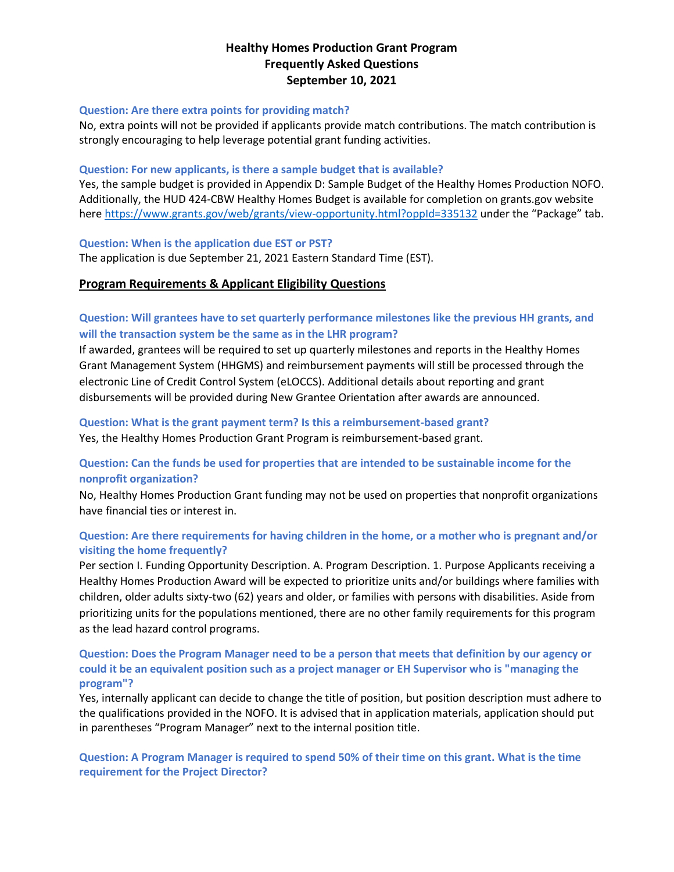#### **Question: Are there extra points for providing match?**

No, extra points will not be provided if applicants provide match contributions. The match contribution is strongly encouraging to help leverage potential grant funding activities.

#### **Question: For new applicants, is there a sample budget that is available?**

Yes, the sample budget is provided in Appendix D: Sample Budget of the Healthy Homes Production NOFO. Additionally, the HUD 424-CBW Healthy Homes Budget is available for completion on grants.gov website here <https://www.grants.gov/web/grants/view-opportunity.html?oppId=335132> under the "Package" tab.

#### **Question: When is the application due EST or PST?**

The application is due September 21, 2021 Eastern Standard Time (EST).

### **Program Requirements & Applicant Eligibility Questions**

## **Question: Will grantees have to set quarterly performance milestones like the previous HH grants, and will the transaction system be the same as in the LHR program?**

If awarded, grantees will be required to set up quarterly milestones and reports in the Healthy Homes Grant Management System (HHGMS) and reimbursement payments will still be processed through the electronic Line of Credit Control System (eLOCCS). Additional details about reporting and grant disbursements will be provided during New Grantee Orientation after awards are announced.

#### **Question: What is the grant payment term? Is this a reimbursement-based grant?**

Yes, the Healthy Homes Production Grant Program is reimbursement-based grant.

### **Question: Can the funds be used for properties that are intended to be sustainable income for the nonprofit organization?**

No, Healthy Homes Production Grant funding may not be used on properties that nonprofit organizations have financial ties or interest in.

### **Question: Are there requirements for having children in the home, or a mother who is pregnant and/or visiting the home frequently?**

Per section I. Funding Opportunity Description. A. Program Description. 1. Purpose Applicants receiving a Healthy Homes Production Award will be expected to prioritize units and/or buildings where families with children, older adults sixty-two (62) years and older, or families with persons with disabilities. Aside from prioritizing units for the populations mentioned, there are no other family requirements for this program as the lead hazard control programs.

### **Question: Does the Program Manager need to be a person that meets that definition by our agency or could it be an equivalent position such as a project manager or EH Supervisor who is "managing the program"?**

Yes, internally applicant can decide to change the title of position, but position description must adhere to the qualifications provided in the NOFO. It is advised that in application materials, application should put in parentheses "Program Manager" next to the internal position title.

**Question: A Program Manager is required to spend 50% of their time on this grant. What is the time requirement for the Project Director?**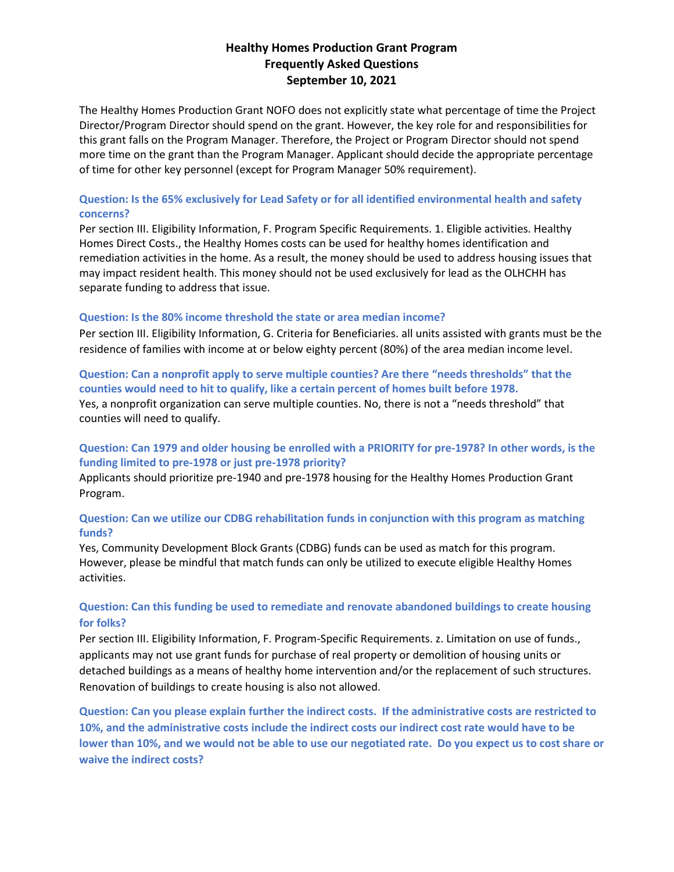The Healthy Homes Production Grant NOFO does not explicitly state what percentage of time the Project Director/Program Director should spend on the grant. However, the key role for and responsibilities for this grant falls on the Program Manager. Therefore, the Project or Program Director should not spend more time on the grant than the Program Manager. Applicant should decide the appropriate percentage of time for other key personnel (except for Program Manager 50% requirement).

## **Question: Is the 65% exclusively for Lead Safety or for all identified environmental health and safety concerns?**

Per section III. Eligibility Information, F. Program Specific Requirements. 1. Eligible activities. Healthy Homes Direct Costs., the Healthy Homes costs can be used for healthy homes identification and remediation activities in the home. As a result, the money should be used to address housing issues that may impact resident health. This money should not be used exclusively for lead as the OLHCHH has separate funding to address that issue.

### **Question: Is the 80% income threshold the state or area median income?**

Per section III. Eligibility Information, G. Criteria for Beneficiaries. all units assisted with grants must be the residence of families with income at or below eighty percent (80%) of the area median income level.

### **Question: Can a nonprofit apply to serve multiple counties? Are there "needs thresholds" that the counties would need to hit to qualify, like a certain percent of homes built before 1978.**

Yes, a nonprofit organization can serve multiple counties. No, there is not a "needs threshold" that counties will need to qualify.

## **Question: Can 1979 and older housing be enrolled with a PRIORITY for pre-1978? In other words, is the funding limited to pre-1978 or just pre-1978 priority?**

Applicants should prioritize pre-1940 and pre-1978 housing for the Healthy Homes Production Grant Program.

### **Question: Can we utilize our CDBG rehabilitation funds in conjunction with this program as matching funds?**

Yes, Community Development Block Grants (CDBG) funds can be used as match for this program. However, please be mindful that match funds can only be utilized to execute eligible Healthy Homes activities.

## **Question: Can this funding be used to remediate and renovate abandoned buildings to create housing for folks?**

Per section III. Eligibility Information, F. Program-Specific Requirements. z. Limitation on use of funds., applicants may not use grant funds for purchase of real property or demolition of housing units or detached buildings as a means of healthy home intervention and/or the replacement of such structures. Renovation of buildings to create housing is also not allowed.

**Question: Can you please explain further the indirect costs. If the administrative costs are restricted to 10%, and the administrative costs include the indirect costs our indirect cost rate would have to be lower than 10%, and we would not be able to use our negotiated rate. Do you expect us to cost share or waive the indirect costs?**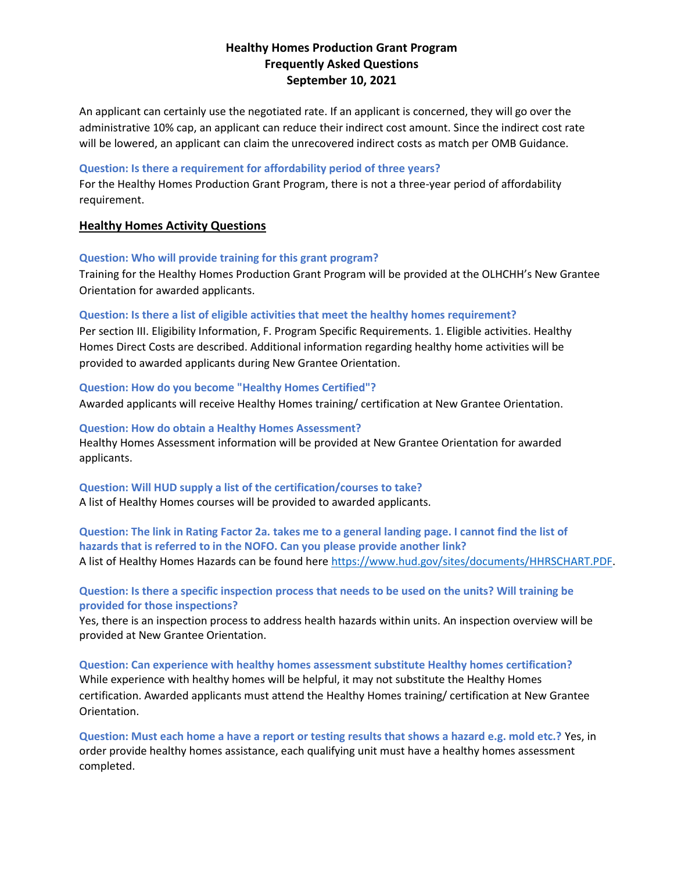An applicant can certainly use the negotiated rate. If an applicant is concerned, they will go over the administrative 10% cap, an applicant can reduce their indirect cost amount. Since the indirect cost rate will be lowered, an applicant can claim the unrecovered indirect costs as match per OMB Guidance.

#### **Question: Is there a requirement for affordability period of three years?**

For the Healthy Homes Production Grant Program, there is not a three-year period of affordability requirement.

### **Healthy Homes Activity Questions**

### **Question: Who will provide training for this grant program?**

Training for the Healthy Homes Production Grant Program will be provided at the OLHCHH's New Grantee Orientation for awarded applicants.

#### **Question: Is there a list of eligible activities that meet the healthy homes requirement?**

Per section III. Eligibility Information, F. Program Specific Requirements. 1. Eligible activities. Healthy Homes Direct Costs are described. Additional information regarding healthy home activities will be provided to awarded applicants during New Grantee Orientation.

#### **Question: How do you become "Healthy Homes Certified"?**

Awarded applicants will receive Healthy Homes training/ certification at New Grantee Orientation.

**Question: How do obtain a Healthy Homes Assessment?** Healthy Homes Assessment information will be provided at New Grantee Orientation for awarded applicants.

#### **Question: Will HUD supply a list of the certification/courses to take?**

A list of Healthy Homes courses will be provided to awarded applicants.

**Question: The link in Rating Factor 2a. takes me to a general landing page. I cannot find the list of hazards that is referred to in the NOFO. Can you please provide another link?** A list of Healthy Homes Hazards can be found here [https://www.hud.gov/sites/documents/HHRSCHART.PDF.](https://www.hud.gov/sites/documents/HHRSCHART.PDF)

### **Question: Is there a specific inspection process that needs to be used on the units? Will training be provided for those inspections?**

Yes, there is an inspection process to address health hazards within units. An inspection overview will be provided at New Grantee Orientation.

**Question: Can experience with healthy homes assessment substitute Healthy homes certification?** While experience with healthy homes will be helpful, it may not substitute the Healthy Homes certification. Awarded applicants must attend the Healthy Homes training/ certification at New Grantee Orientation.

**Question: Must each home a have a report or testing results that shows a hazard e.g. mold etc.?** Yes, in order provide healthy homes assistance, each qualifying unit must have a healthy homes assessment completed.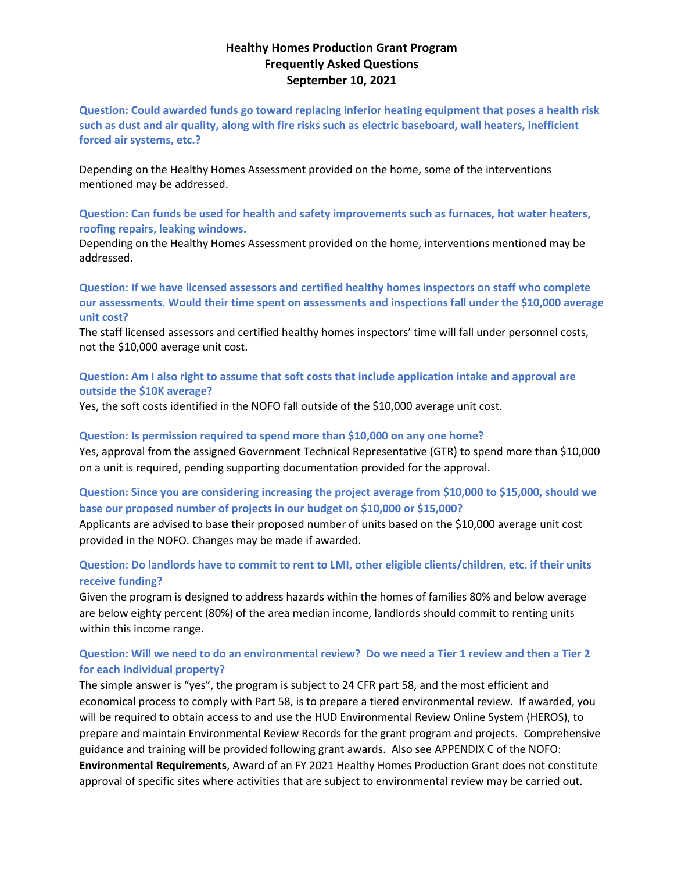**Question: Could awarded funds go toward replacing inferior heating equipment that poses a health risk such as dust and air quality, along with fire risks such as electric baseboard, wall heaters, inefficient forced air systems, etc.?**

Depending on the Healthy Homes Assessment provided on the home, some of the interventions mentioned may be addressed.

### **Question: Can funds be used for health and safety improvements such as furnaces, hot water heaters, roofing repairs, leaking windows.**

Depending on the Healthy Homes Assessment provided on the home, interventions mentioned may be addressed.

## **Question: If we have licensed assessors and certified healthy homes inspectors on staff who complete our assessments. Would their time spent on assessments and inspections fall under the \$10,000 average unit cost?**

The staff licensed assessors and certified healthy homes inspectors' time will fall under personnel costs, not the \$10,000 average unit cost.

## **Question: Am I also right to assume that soft costs that include application intake and approval are outside the \$10K average?**

Yes, the soft costs identified in the NOFO fall outside of the \$10,000 average unit cost.

#### **Question: Is permission required to spend more than \$10,000 on any one home?**

Yes, approval from the assigned Government Technical Representative (GTR) to spend more than \$10,000 on a unit is required, pending supporting documentation provided for the approval.

## **Question: Since you are considering increasing the project average from \$10,000 to \$15,000, should we base our proposed number of projects in our budget on \$10,000 or \$15,000?**

Applicants are advised to base their proposed number of units based on the \$10,000 average unit cost provided in the NOFO. Changes may be made if awarded.

## **Question: Do landlords have to commit to rent to LMI, other eligible clients/children, etc. if their units receive funding?**

Given the program is designed to address hazards within the homes of families 80% and below average are below eighty percent (80%) of the area median income, landlords should commit to renting units within this income range.

## **Question: Will we need to do an environmental review? Do we need a Tier 1 review and then a Tier 2 for each individual property?**

The simple answer is "yes", the program is subject to 24 CFR part 58, and the most efficient and economical process to comply with Part 58, is to prepare a tiered environmental review. If awarded, you will be required to obtain access to and use the HUD Environmental Review Online System (HEROS), to prepare and maintain Environmental Review Records for the grant program and projects. Comprehensive guidance and training will be provided following grant awards. Also see APPENDIX C of the NOFO: **Environmental Requirements**, Award of an FY 2021 Healthy Homes Production Grant does not constitute approval of specific sites where activities that are subject to environmental review may be carried out.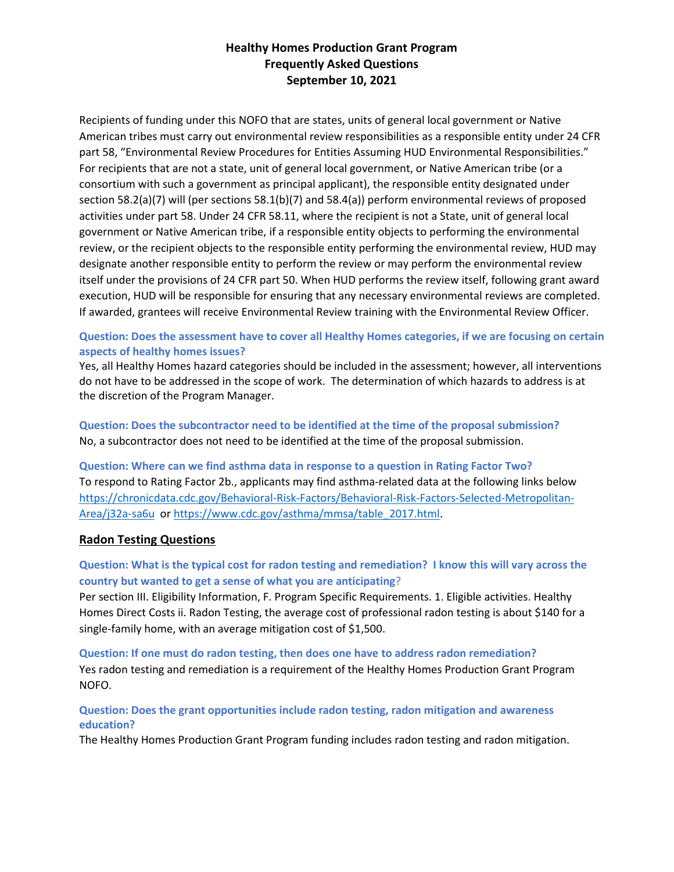Recipients of funding under this NOFO that are states, units of general local government or Native American tribes must carry out environmental review responsibilities as a responsible entity under 24 CFR part 58, "Environmental Review Procedures for Entities Assuming HUD Environmental Responsibilities." For recipients that are not a state, unit of general local government, or Native American tribe (or a consortium with such a government as principal applicant), the responsible entity designated under section 58.2(a)(7) will (per sections 58.1(b)(7) and 58.4(a)) perform environmental reviews of proposed activities under part 58. Under 24 CFR 58.11, where the recipient is not a State, unit of general local government or Native American tribe, if a responsible entity objects to performing the environmental review, or the recipient objects to the responsible entity performing the environmental review, HUD may designate another responsible entity to perform the review or may perform the environmental review itself under the provisions of 24 CFR part 50. When HUD performs the review itself, following grant award execution, HUD will be responsible for ensuring that any necessary environmental reviews are completed. If awarded, grantees will receive Environmental Review training with the Environmental Review Officer.

## **Question: Does the assessment have to cover all Healthy Homes categories, if we are focusing on certain aspects of healthy homes issues?**

Yes, all Healthy Homes hazard categories should be included in the assessment; however, all interventions do not have to be addressed in the scope of work. The determination of which hazards to address is at the discretion of the Program Manager.

**Question: Does the subcontractor need to be identified at the time of the proposal submission?** No, a subcontractor does not need to be identified at the time of the proposal submission.

**Question: Where can we find asthma data in response to a question in Rating Factor Two?** To respond to Rating Factor 2b., applicants may find asthma-related data at the following links below [https://chronicdata.cdc.gov/Behavioral-Risk-Factors/Behavioral-Risk-Factors-Selected-Metropolitan-](https://chronicdata.cdc.gov/Behavioral-Risk-Factors/Behavioral-Risk-Factors-Selected-Metropolitan-Area/j32a-sa6u)[Area/j32a-sa6u](https://chronicdata.cdc.gov/Behavioral-Risk-Factors/Behavioral-Risk-Factors-Selected-Metropolitan-Area/j32a-sa6u) o[r https://www.cdc.gov/asthma/mmsa/table\\_2017.html.](https://www.cdc.gov/asthma/mmsa/table_2017.html)

## **Radon Testing Questions**

**Question: What is the typical cost for radon testing and remediation? I know this will vary across the country but wanted to get a sense of what you are anticipating**?

Per section III. Eligibility Information, F. Program Specific Requirements. 1. Eligible activities. Healthy Homes Direct Costs ii. Radon Testing, the average cost of professional radon testing is about \$140 for a single-family home, with an average mitigation cost of \$1,500.

**Question: If one must do radon testing, then does one have to address radon remediation?** Yes radon testing and remediation is a requirement of the Healthy Homes Production Grant Program NOFO.

## **Question: Does the grant opportunities include radon testing, radon mitigation and awareness education?**

The Healthy Homes Production Grant Program funding includes radon testing and radon mitigation.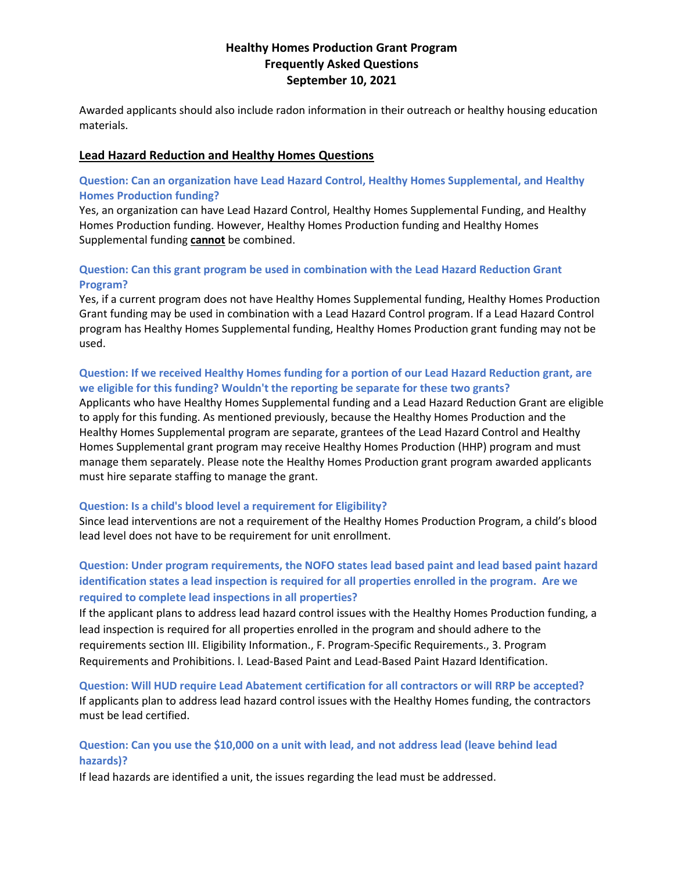Awarded applicants should also include radon information in their outreach or healthy housing education materials.

### **Lead Hazard Reduction and Healthy Homes Questions**

## **Question: Can an organization have Lead Hazard Control, Healthy Homes Supplemental, and Healthy Homes Production funding?**

Yes, an organization can have Lead Hazard Control, Healthy Homes Supplemental Funding, and Healthy Homes Production funding. However, Healthy Homes Production funding and Healthy Homes Supplemental funding **cannot** be combined.

## **Question: Can this grant program be used in combination with the Lead Hazard Reduction Grant Program?**

Yes, if a current program does not have Healthy Homes Supplemental funding, Healthy Homes Production Grant funding may be used in combination with a Lead Hazard Control program. If a Lead Hazard Control program has Healthy Homes Supplemental funding, Healthy Homes Production grant funding may not be used.

## **Question: If we received Healthy Homes funding for a portion of our Lead Hazard Reduction grant, are we eligible for this funding? Wouldn't the reporting be separate for these two grants?**

Applicants who have Healthy Homes Supplemental funding and a Lead Hazard Reduction Grant are eligible to apply for this funding. As mentioned previously, because the Healthy Homes Production and the Healthy Homes Supplemental program are separate, grantees of the Lead Hazard Control and Healthy Homes Supplemental grant program may receive Healthy Homes Production (HHP) program and must manage them separately. Please note the Healthy Homes Production grant program awarded applicants must hire separate staffing to manage the grant.

### **Question: Is a child's blood level a requirement for Eligibility?**

Since lead interventions are not a requirement of the Healthy Homes Production Program, a child's blood lead level does not have to be requirement for unit enrollment.

## **Question: Under program requirements, the NOFO states lead based paint and lead based paint hazard identification states a lead inspection is required for all properties enrolled in the program. Are we required to complete lead inspections in all properties?**

If the applicant plans to address lead hazard control issues with the Healthy Homes Production funding, a lead inspection is required for all properties enrolled in the program and should adhere to the requirements section III. Eligibility Information., F. Program-Specific Requirements., 3. Program Requirements and Prohibitions. l. Lead-Based Paint and Lead-Based Paint Hazard Identification.

**Question: Will HUD require Lead Abatement certification for all contractors or will RRP be accepted?** If applicants plan to address lead hazard control issues with the Healthy Homes funding, the contractors must be lead certified.

## **Question: Can you use the \$10,000 on a unit with lead, and not address lead (leave behind lead hazards)?**

If lead hazards are identified a unit, the issues regarding the lead must be addressed.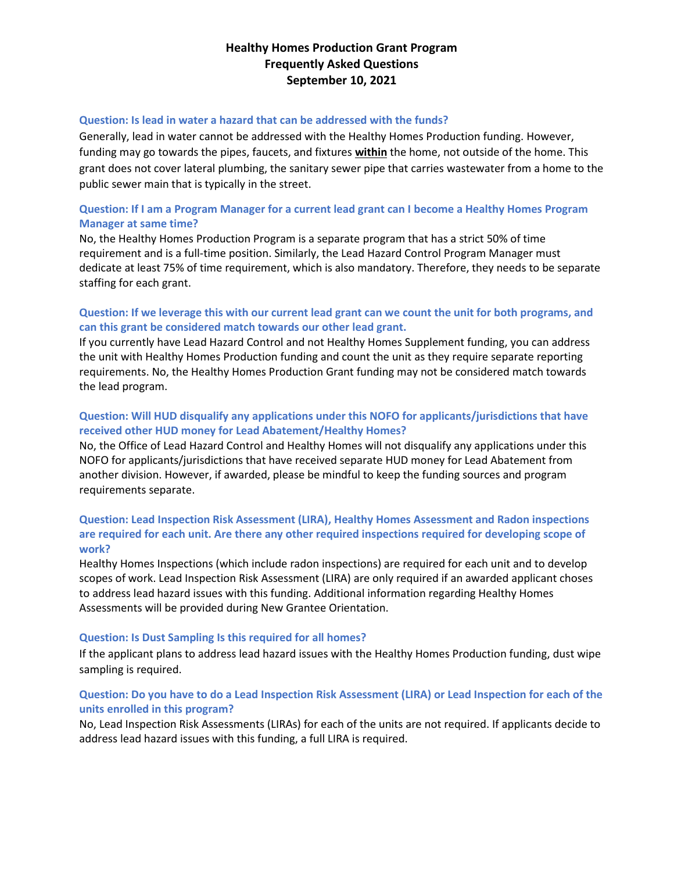#### **Question: Is lead in water a hazard that can be addressed with the funds?**

Generally, lead in water cannot be addressed with the Healthy Homes Production funding. However, funding may go towards the pipes, faucets, and fixtures **within** the home, not outside of the home. This grant does not cover lateral plumbing, the sanitary sewer pipe that carries wastewater from a home to the public sewer main that is typically in the street.

## **Question: If I am a Program Manager for a current lead grant can I become a Healthy Homes Program Manager at same time?**

No, the Healthy Homes Production Program is a separate program that has a strict 50% of time requirement and is a full-time position. Similarly, the Lead Hazard Control Program Manager must dedicate at least 75% of time requirement, which is also mandatory. Therefore, they needs to be separate staffing for each grant.

## **Question: If we leverage this with our current lead grant can we count the unit for both programs, and can this grant be considered match towards our other lead grant.**

If you currently have Lead Hazard Control and not Healthy Homes Supplement funding, you can address the unit with Healthy Homes Production funding and count the unit as they require separate reporting requirements. No, the Healthy Homes Production Grant funding may not be considered match towards the lead program.

### **Question: Will HUD disqualify any applications under this NOFO for applicants/jurisdictions that have received other HUD money for Lead Abatement/Healthy Homes?**

No, the Office of Lead Hazard Control and Healthy Homes will not disqualify any applications under this NOFO for applicants/jurisdictions that have received separate HUD money for Lead Abatement from another division. However, if awarded, please be mindful to keep the funding sources and program requirements separate.

### **Question: Lead Inspection Risk Assessment (LIRA), Healthy Homes Assessment and Radon inspections are required for each unit. Are there any other required inspections required for developing scope of work?**

Healthy Homes Inspections (which include radon inspections) are required for each unit and to develop scopes of work. Lead Inspection Risk Assessment (LIRA) are only required if an awarded applicant choses to address lead hazard issues with this funding. Additional information regarding Healthy Homes Assessments will be provided during New Grantee Orientation.

### **Question: Is Dust Sampling Is this required for all homes?**

If the applicant plans to address lead hazard issues with the Healthy Homes Production funding, dust wipe sampling is required.

### **Question: Do you have to do a Lead Inspection Risk Assessment (LIRA) or Lead Inspection for each of the units enrolled in this program?**

No, Lead Inspection Risk Assessments (LIRAs) for each of the units are not required. If applicants decide to address lead hazard issues with this funding, a full LIRA is required.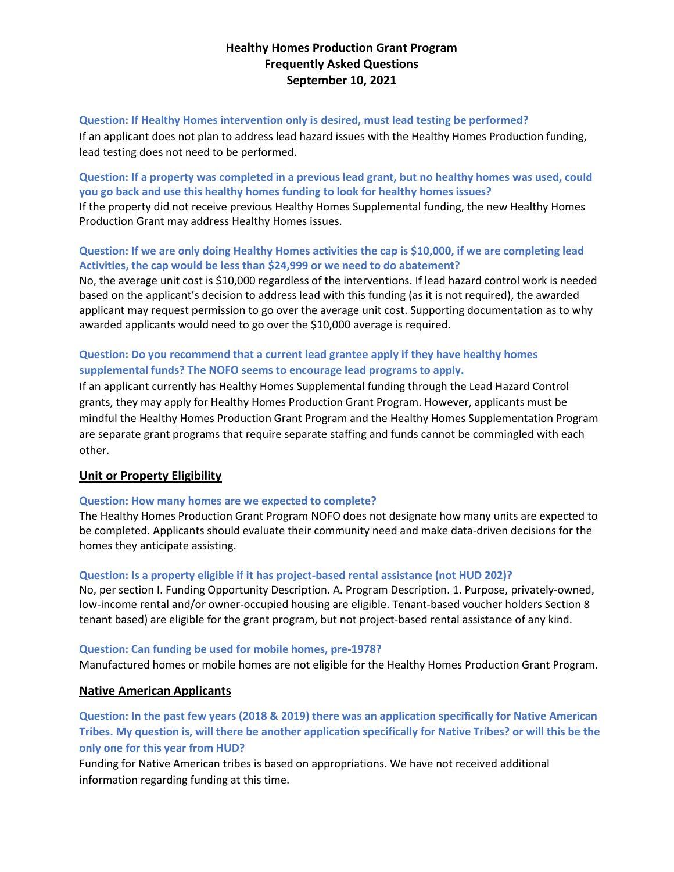#### **Question: If Healthy Homes intervention only is desired, must lead testing be performed?**

If an applicant does not plan to address lead hazard issues with the Healthy Homes Production funding, lead testing does not need to be performed.

### **Question: If a property was completed in a previous lead grant, but no healthy homes was used, could you go back and use this healthy homes funding to look for healthy homes issues?**

If the property did not receive previous Healthy Homes Supplemental funding, the new Healthy Homes Production Grant may address Healthy Homes issues.

### **Question: If we are only doing Healthy Homes activities the cap is \$10,000, if we are completing lead Activities, the cap would be less than \$24,999 or we need to do abatement?**

No, the average unit cost is \$10,000 regardless of the interventions. If lead hazard control work is needed based on the applicant's decision to address lead with this funding (as it is not required), the awarded applicant may request permission to go over the average unit cost. Supporting documentation as to why awarded applicants would need to go over the \$10,000 average is required.

## **Question: Do you recommend that a current lead grantee apply if they have healthy homes supplemental funds? The NOFO seems to encourage lead programs to apply.**

If an applicant currently has Healthy Homes Supplemental funding through the Lead Hazard Control grants, they may apply for Healthy Homes Production Grant Program. However, applicants must be mindful the Healthy Homes Production Grant Program and the Healthy Homes Supplementation Program are separate grant programs that require separate staffing and funds cannot be commingled with each other.

## **Unit or Property Eligibility**

### **Question: How many homes are we expected to complete?**

The Healthy Homes Production Grant Program NOFO does not designate how many units are expected to be completed. Applicants should evaluate their community need and make data-driven decisions for the homes they anticipate assisting.

### **Question: Is a property eligible if it has project-based rental assistance (not HUD 202)?**

No, per section I. Funding Opportunity Description. A. Program Description. 1. Purpose, privately-owned, low-income rental and/or owner-occupied housing are eligible. Tenant-based voucher holders Section 8 tenant based) are eligible for the grant program, but not project-based rental assistance of any kind.

#### **Question: Can funding be used for mobile homes, pre-1978?**

Manufactured homes or mobile homes are not eligible for the Healthy Homes Production Grant Program.

### **Native American Applicants**

## **Question: In the past few years (2018 & 2019) there was an application specifically for Native American Tribes. My question is, will there be another application specifically for Native Tribes? or will this be the only one for this year from HUD?**

Funding for Native American tribes is based on appropriations. We have not received additional information regarding funding at this time.